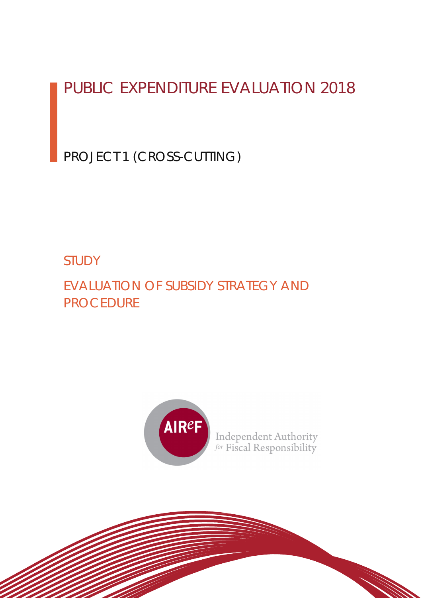# PUBLIC EXPENDITURE EVALUATION 2018

PROJECT 1 (CROSS-CUTTING)

# STUDY

EVALUATION OF SUBSIDY STRATEGY AND PROCEDURE



Independent Authority<br>for Fiscal Responsibility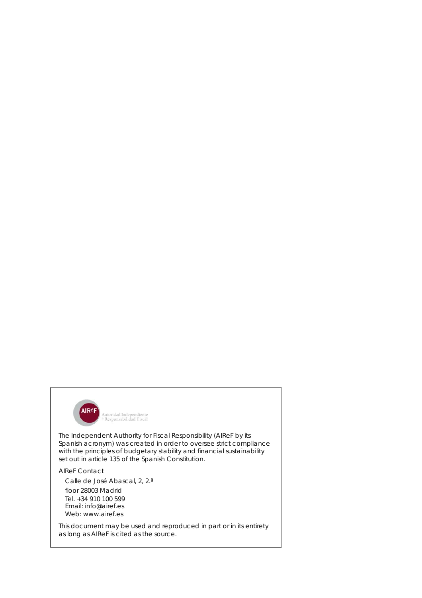

The Independent Authority for Fiscal Responsibility (AIReF by its Spanish acronym) was created in order to oversee strict compliance with the principles of budgetary stability and financial sustainability set out in article 135 of the Spanish Constitution.

#### AIReF Contact

Calle de José Abascal, 2, 2.ª

floor 28003 Madrid Tel. +34 910 100 599 Email: info@airef.es Web: www.airef.es

This document may be used and reproduced in part or in its entirety as long as AIReF is cited as the source.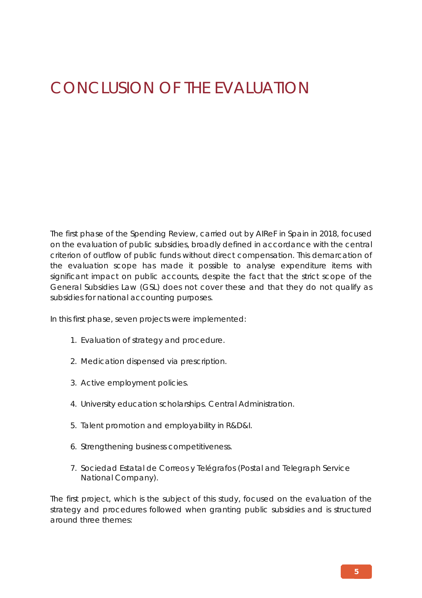# CONCLUSION OF THE EVALUATION

The first phase of the Spending Review, carried out by AIReF in Spain in 2018, focused on the evaluation of public subsidies, broadly defined in accordance with the central criterion of outflow of public funds without direct compensation. This demarcation of the evaluation scope has made it possible to analyse expenditure items with significant impact on public accounts, despite the fact that the strict scope of the General Subsidies Law (GSL) does not cover these and that they do not qualify as subsidies for national accounting purposes.

In this first phase, seven projects were implemented:

- 1. Evaluation of strategy and procedure.
- 2. Medication dispensed via prescription.
- 3. Active employment policies.
- 4. University education scholarships. Central Administration.
- 5. Talent promotion and employability in R&D&I.
- 6. Strengthening business competitiveness.
- 7. Sociedad Estatal de Correos y Telégrafos (Postal and Telegraph Service National Company).

The first project, which is the subject of this study, focused on the evaluation of the strategy and procedures followed when granting public subsidies and is structured around three themes: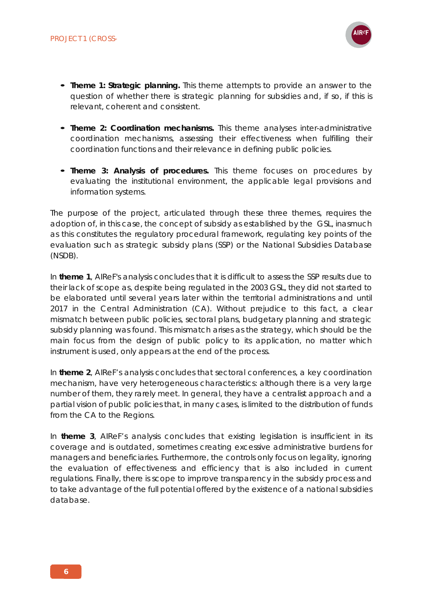

- **Theme 1: Strategic planning.** This theme attempts to provide an answer to the question of whether there is strategic planning for subsidies and, if so, if this is relevant, coherent and consistent.
- **Theme 2: Coordination mechanisms.** This theme analyses inter-administrative coordination mechanisms, assessing their effectiveness when fulfilling their coordination functions and their relevance in defining public policies.
- **Theme 3: Analysis of procedures.** This theme focuses on procedures by evaluating the institutional environment, the applicable legal provisions and information systems.

The purpose of the project, articulated through these three themes, requires the adoption of, in this case, the concept of subsidy as established by the GSL, inasmuch as this constitutes the regulatory procedural framework, regulating key points of the evaluation such as strategic subsidy plans (SSP) or the National Subsidies Database (NSDB).

In **theme 1**, AIReF's analysis concludes that it is difficult to assess the SSP results due to their lack of scope as, despite being regulated in the 2003 GSL, they did not started to be elaborated until several years later within the territorial administrations and until 2017 in the Central Administration (CA). Without prejudice to this fact, a clear mismatch between public policies, sectoral plans, budgetary planning and strategic subsidy planning was found. This mismatch arises as the strategy, which should be the main focus from the design of public policy to its application, no matter which instrument is used, only appears at the end of the process.

In **theme 2**, AIReF's analysis concludes that sectoral conferences, a key coordination mechanism, have very heterogeneous characteristics: although there is a very large number of them, they rarely meet. In general, they have a centralist approach and a partial vision of public policies that, in many cases, is limited to the distribution of funds from the CA to the Regions.

In **theme 3**, AIReF's analysis concludes that existing legislation is insufficient in its coverage and is outdated, sometimes creating excessive administrative burdens for managers and beneficiaries. Furthermore, the controls only focus on legality, ignoring the evaluation of effectiveness and efficiency that is also included in current regulations. Finally, there is scope to improve transparency in the subsidy process and to take advantage of the full potential offered by the existence of a national subsidies database.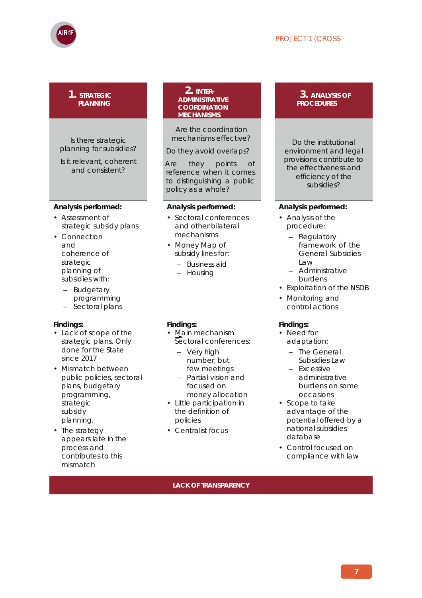#### PROJECT 1 (CROSS-



#### **1. STRATEGIC PLANNING**

Is there strategic planning for subsidies?

Is it relevant, coherent and consistent?

#### **Analysis performed:**

- Assessment of strategic subsidy plans
- Connection and coherence of strategic planning of subsidies with:
	- Budgetary
	- programming
	- Sectoral plans

#### **Findings:**

- Lack of scope of the strategic plans. Only done for the State since 2017
- Mismatch between public policies, sectoral plans, budgetary programming, strategic subsidy planning.
- The strategy appears late in the process and contributes to this mismatch

#### **2. INTER-ADMINISTRATIVE COORDINATION MECHANISMS**

Are the coordination mechanisms effective?

Do they avoid overlaps?

Are they points of reference when it comes to distinguishing a public policy as a whole?

#### **Analysis performed:**

- Sectoral conferences and other bilateral mechanisms
- *•* Money Map of subsidy lines for:
	- Business aid
	- Housing
- **Findings:**
- Main mechanism Sectoral conferences:
	- Very high number, but few meetings
	- Partial vision and focused on money allocation
- Little participation in the definition of policies
- Centralist focus

#### **3. ANALYSIS OF PROCEDURES**

Do the institutional environment and legal provisions contribute to the effectiveness and efficiency of the subsidies?

#### **Analysis performed:**

- Analysis of the procedure:
	- Regulatory framework of the General Subsidies Law
	- Administrative burdens
- Exploitation of the NSDB
- Monitoring and control actions

#### **Findings:**

- Need for adaptation:
	- The General Subsidies Law
	- Excessive administrative burdens on some occasions
- Scope to take advantage of the potential offered by a national subsidies database
- Control focused on compliance with law

**LACK OF TRANSPARENCY**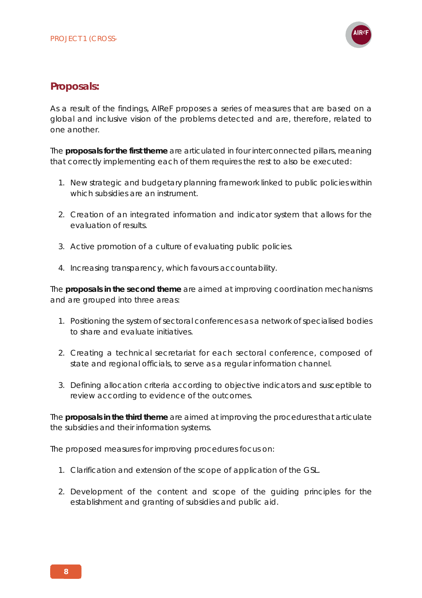

## **Proposals:**

As a result of the findings, AIReF proposes a series of measures that are based on a global and inclusive vision of the problems detected and are, therefore, related to one another.

The **proposals for the first theme** are articulated in four interconnected pillars, meaning that correctly implementing each of them requires the rest to also be executed:

- 1. New strategic and budgetary planning framework linked to public policies within which subsidies are an instrument.
- 2. Creation of an integrated information and indicator system that allows for the evaluation of results.
- 3. Active promotion of a culture of evaluating public policies.
- 4. Increasing transparency, which favours accountability.

The **proposals in the second theme** are aimed at improving coordination mechanisms and are grouped into three areas:

- 1. Positioning the system of sectoral conferences as a network of specialised bodies to share and evaluate initiatives.
- 2. Creating a technical secretariat for each sectoral conference, composed of state and regional officials, to serve as a regular information channel.
- 3. Defining allocation criteria according to objective indicators and susceptible to review according to evidence of the outcomes.

The **proposals in the third theme** are aimed at improving the procedures that articulate the subsidies and their information systems.

The proposed measures for improving procedures focus on:

- 1. Clarification and extension of the scope of application of the GSL.
- 2. Development of the content and scope of the guiding principles for the establishment and granting of subsidies and public aid.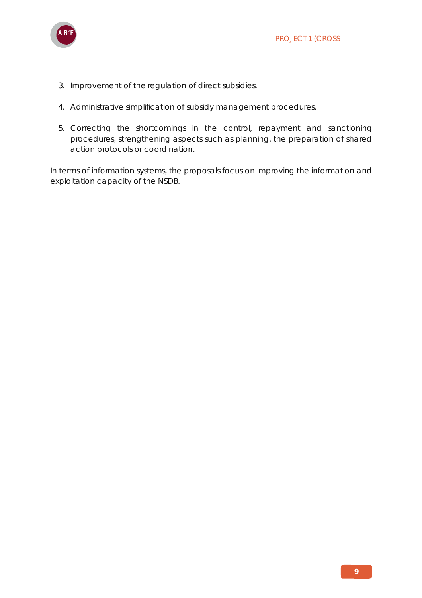

- 3. Improvement of the regulation of direct subsidies.
- 4. Administrative simplification of subsidy management procedures.
- 5. Correcting the shortcomings in the control, repayment and sanctioning procedures, strengthening aspects such as planning, the preparation of shared action protocols or coordination.

In terms of information systems, the proposals focus on improving the information and exploitation capacity of the NSDB.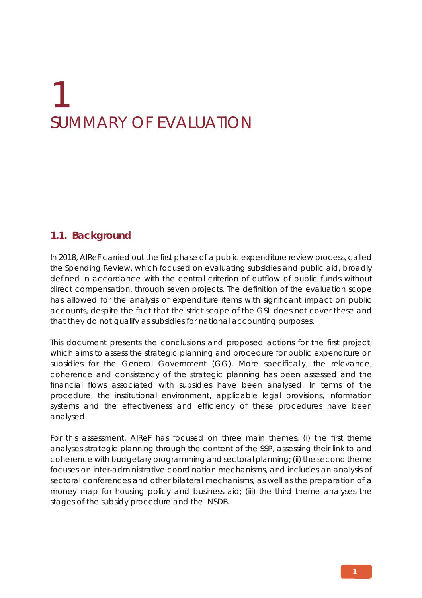# 1 SUMMARY OF EVALUATION

## **1.1. Background**

In 2018, AIReF carried out the first phase of a public expenditure review process, called the Spending Review, which focused on evaluating subsidies and public aid, broadly defined in accordance with the central criterion of outflow of public funds without direct compensation, through seven projects. The definition of the evaluation scope has allowed for the analysis of expenditure items with significant impact on public accounts, despite the fact that the strict scope of the GSL does not cover these and that they do not qualify as subsidies for national accounting purposes.

This document presents the conclusions and proposed actions for the first project, which aims to assess the strategic planning and procedure for public expenditure on subsidies for the General Government (GG). More specifically, the relevance, coherence and consistency of the strategic planning has been assessed and the financial flows associated with subsidies have been analysed. In terms of the procedure, the institutional environment, applicable legal provisions, information systems and the effectiveness and efficiency of these procedures have been analysed.

For this assessment, AIReF has focused on three main themes: (i) the first theme analyses strategic planning through the content of the SSP, assessing their link to and coherence with budgetary programming and sectoral planning; (ii) the second theme focuses on inter-administrative coordination mechanisms, and includes an analysis of sectoral conferences and other bilateral mechanisms, as well as the preparation of a money map for housing policy and business aid; (iii) the third theme analyses the stages of the subsidy procedure and the NSDB.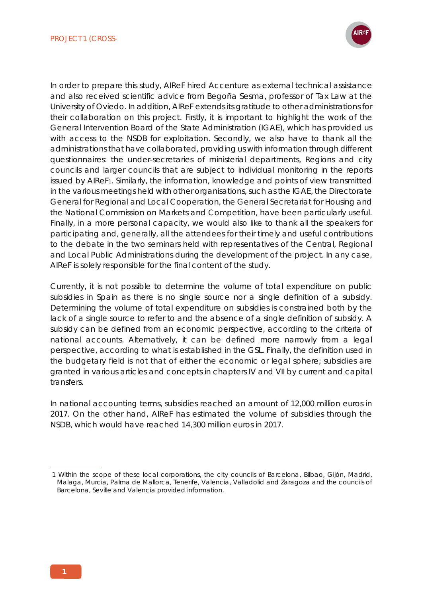

In order to prepare this study, AIReF hired Accenture as external technical assistance and also received scientific advice from Begoña Sesma, professor of Tax Law at the University of Oviedo. In addition, AIReF extends its gratitude to other administrations for their collaboration on this project. Firstly, it is important to highlight the work of the General Intervention Board of the State Administration (IGAE), which has provided us with access to the NSDB for exploitation. Secondly, we also have to thank all the administrations that have collaborated, providing us with information through different questionnaires: the under-secretaries of ministerial departments, Regions and city councils and larger councils that are subject to individual monitoring in the reports issued by AIReF1. Similarly, the information, knowledge and points of view transmitted in the various meetings held with other organisations, such as the IGAE, the Directorate General for Regional and Local Cooperation, the General Secretariat for Housing and the National Commission on Markets and Competition, have been particularly useful. Finally, in a more personal capacity, we would also like to thank all the speakers for participating and, generally, all the attendees for their timely and useful contributions to the debate in the two seminars held with representatives of the Central, Regional and Local Public Administrations during the development of the project. In any case, AIReF is solely responsible for the final content of the study.

Currently, it is not possible to determine the volume of total expenditure on public subsidies in Spain as there is no single source nor a single definition of a subsidy. Determining the volume of total expenditure on subsidies is constrained both by the lack of a single source to refer to and the absence of a single definition of subsidy. A subsidy can be defined from an economic perspective, according to the criteria of national accounts. Alternatively, it can be defined more narrowly from a legal perspective, according to what is established in the GSL. Finally, the definition used in the budgetary field is not that of either the economic or legal sphere; subsidies are granted in various articles and concepts in chapters IV and VII by current and capital transfers.

In national accounting terms, subsidies reached an amount of 12,000 million euros in 2017. On the other hand, AIReF has estimated the volume of subsidies through the NSDB, which would have reached 14,300 million euros in 2017.

<sup>1</sup> Within the scope of these local corporations, the city councils of Barcelona, Bilbao, Gijón, Madrid, Malaga, Murcia, Palma de Mallorca, Tenerife, Valencia, Valladolid and Zaragoza and the councils of Barcelona, Seville and Valencia provided information.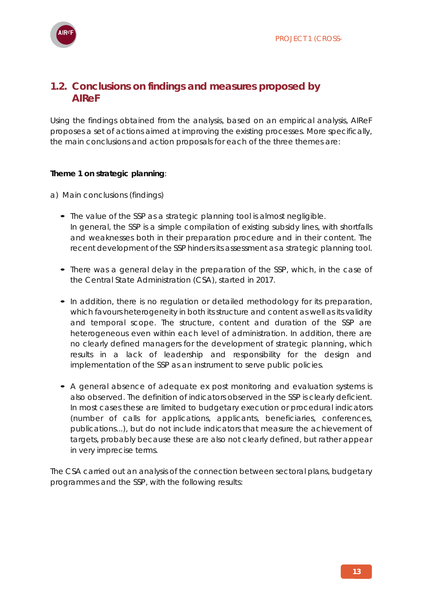

## **1.2. Conclusions on findings and measures proposed by AIReF**

Using the findings obtained from the analysis, based on an empirical analysis, AIReF proposes a set of actions aimed at improving the existing processes. More specifically, the main conclusions and action proposals for each of the three themes are:

#### **Theme 1 on strategic planning**:

- a) Main conclusions (findings)
	- The value of the SSP as a strategic planning tool is almost negligible. In general, the SSP is a simple compilation of existing subsidy lines, with shortfalls and weaknesses both in their preparation procedure and in their content. The recent development of the SSP hinders its assessment as a strategic planning tool.
	- There was a general delay in the preparation of the SSP, which, in the case of the Central State Administration (CSA), started in 2017.
	- In addition, there is no regulation or detailed methodology for its preparation, which favours heterogeneity in both its structure and content as well as its validity and temporal scope. The structure, content and duration of the SSP are heterogeneous even within each level of administration. In addition, there are no clearly defined managers for the development of strategic planning, which results in a lack of leadership and responsibility for the design and implementation of the SSP as an instrument to serve public policies.
	- A general absence of adequate *ex post* monitoring and evaluation systems is also observed. The definition of indicators observed in the SSP is clearly deficient. In most cases these are limited to budgetary execution or procedural indicators (number of calls for applications, applicants, beneficiaries, conferences, publications...), but do not include indicators that measure the achievement of targets, probably because these are also not clearly defined, but rather appear in very imprecise terms.

The CSA carried out an analysis of the connection between sectoral plans, budgetary programmes and the SSP, with the following results: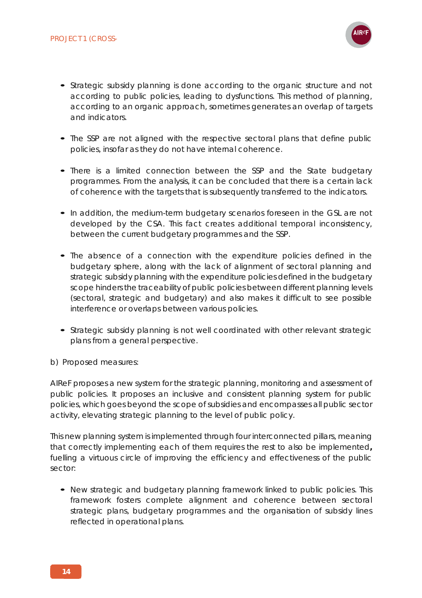

- Strategic subsidy planning is done according to the organic structure and not according to public policies, leading to dysfunctions. This method of planning, according to an organic approach, sometimes generates an overlap of targets and indicators.
- The SSP are not aligned with the respective sectoral plans that define public policies, insofar as they do not have internal coherence.
- There is a limited connection between the SSP and the State budgetary programmes. From the analysis, it can be concluded that there is a certain lack of coherence with the targets that is subsequently transferred to the indicators.
- In addition, the medium-term budgetary scenarios foreseen in the GSL are not developed by the CSA. This fact creates additional temporal inconsistency, between the current budgetary programmes and the SSP.
- The absence of a connection with the expenditure policies defined in the budgetary sphere, along with the lack of alignment of sectoral planning and strategic subsidy planning with the expenditure policies defined in the budgetary scope hinders the traceability of public policies between different planning levels (sectoral, strategic and budgetary) and also makes it difficult to see possible interference or overlaps between various policies.
- Strategic subsidy planning is not well coordinated with other relevant strategic plans from a general perspective.
- b) Proposed measures:

AIReF proposes a new system for the strategic planning, monitoring and assessment of public policies. It proposes an inclusive and consistent planning system for public policies, which goes beyond the scope of subsidies and encompasses all public sector activity, elevating strategic planning to the level of public policy.

This new planning system is implemented through four interconnected pillars, meaning that correctly implementing each of them requires the rest to also be implemented**,**  fuelling a virtuous circle of improving the efficiency and effectiveness of the public sector:

**•** New strategic and budgetary planning framework linked to public policies. This framework fosters complete alignment and coherence between sectoral strategic plans, budgetary programmes and the organisation of subsidy lines reflected in operational plans.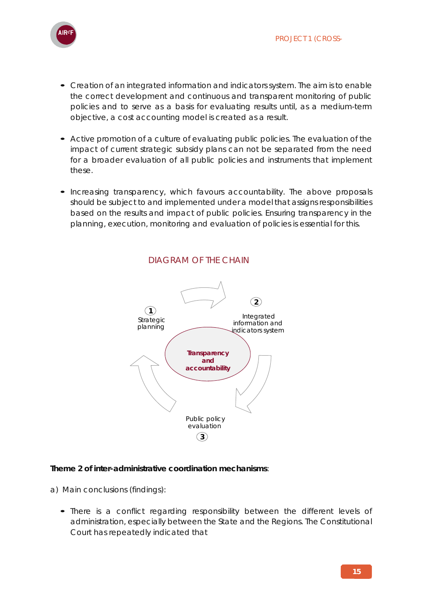

- Creation of an integrated information and indicators system. The aim is to enable the correct development and continuous and transparent monitoring of public policies and to serve as a basis for evaluating results until, as a medium-term objective, a cost accounting model is created as a result.
- Active promotion of a culture of evaluating public policies. The evaluation of the impact of current strategic subsidy plans can not be separated from the need for a broader evaluation of all public policies and instruments that implement these.
- Increasing transparency, which favours accountability. The above proposals should be subject to and implemented under a model that assigns responsibilities based on the results and impact of public policies. Ensuring transparency in the planning, execution, monitoring and evaluation of policies is essential for this.



### DIAGRAM OF THE CHAIN

#### **Theme 2 of inter-administrative coordination mechanisms**:

- a) Main conclusions (findings):
	- There is a conflict regarding responsibility between the different levels of administration, especially between the State and the Regions. The Constitutional Court has repeatedly indicated that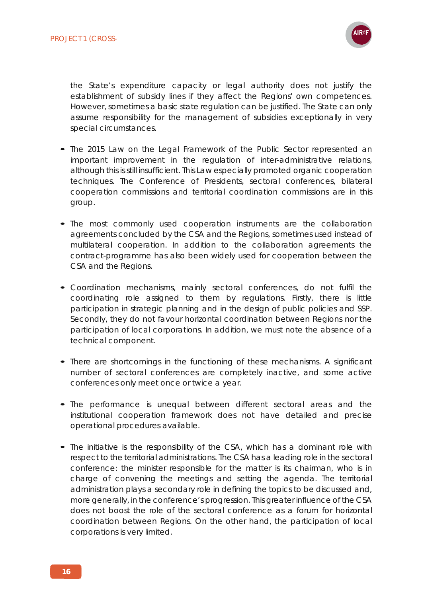

the State's expenditure capacity or legal authority does not justify the establishment of subsidy lines if they affect the Regions' own competences. However, sometimes a basic state regulation can be justified. The State can only assume responsibility for the management of subsidies exceptionally in very special circumstances.

- The 2015 Law on the Legal Framework of the Public Sector represented an important improvement in the regulation of inter-administrative relations, although this is still insufficient. This Law especially promoted organic cooperation techniques. The Conference of Presidents, sectoral conferences, bilateral cooperation commissions and territorial coordination commissions are in this group.
- The most commonly used cooperation instruments are the collaboration agreements concluded by the CSA and the Regions, sometimes used instead of multilateral cooperation. In addition to the collaboration agreements the contract-programme has also been widely used for cooperation between the CSA and the Regions.
- Coordination mechanisms, mainly sectoral conferences, do not fulfil the coordinating role assigned to them by regulations. Firstly, there is little participation in strategic planning and in the design of public policies and SSP. Secondly, they do not favour horizontal coordination between Regions nor the participation of local corporations. In addition, we must note the absence of a technical component.
- There are shortcomings in the functioning of these mechanisms. A significant number of sectoral conferences are completely inactive, and some active conferences only meet once or twice a year.
- The performance is unequal between different sectoral areas and the institutional cooperation framework does not have detailed and precise operational procedures available.
- The initiative is the responsibility of the CSA, which has a dominant role with respect to the territorial administrations. The CSA has a leading role in the sectoral conference: the minister responsible for the matter is its chairman, who is in charge of convening the meetings and setting the agenda. The territorial administration plays a secondary role in defining the topics to be discussed and, more generally, in the conference's progression. This greater influence of the CSA does not boost the role of the sectoral conference as a forum for horizontal coordination between Regions. On the other hand, the participation of local corporations is very limited.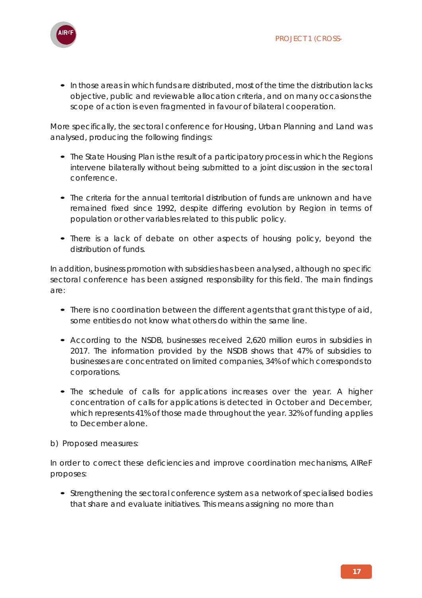

**•** In those areas in which funds are distributed, most of the time the distribution lacks objective, public and reviewable allocation criteria, and on many occasions the scope of action is even fragmented in favour of bilateral cooperation.

More specifically, the sectoral conference for Housing, Urban Planning and Land was analysed, producing the following findings:

- The State Housing Plan is the result of a participatory process in which the Regions intervene bilaterally without being submitted to a joint discussion in the sectoral conference.
- The criteria for the annual territorial distribution of funds are unknown and have remained fixed since 1992, despite differing evolution by Region in terms of population or other variables related to this public policy.
- There is a lack of debate on other aspects of housing policy, beyond the distribution of funds.

In addition, business promotion with subsidies has been analysed, although no specific sectoral conference has been assigned responsibility for this field. The main findings are:

- There is no coordination between the different agents that grant this type of aid, some entities do not know what others do within the same line.
- According to the NSDB, businesses received 2,620 million euros in subsidies in 2017. The information provided by the NSDB shows that 47% of subsidies to businesses are concentrated on limited companies, 34% of which corresponds to corporations.
- The schedule of calls for applications increases over the year. A higher concentration of calls for applications is detected in October and December, which represents 41% of those made throughout the year. 32% of funding applies to December alone.

b) Proposed measures:

In order to correct these deficiencies and improve coordination mechanisms, AIReF proposes:

**•** Strengthening the sectoral conference system as a network of specialised bodies that share and evaluate initiatives. This means assigning no more than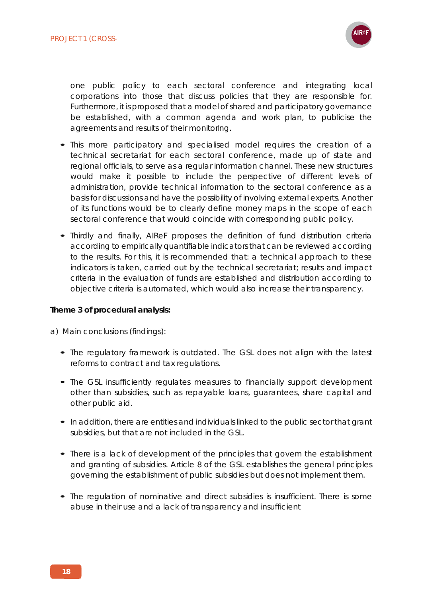

one public policy to each sectoral conference and integrating local corporations into those that discuss policies that they are responsible for. Furthermore, it is proposed that a model of shared and participatory governance be established, with a common agenda and work plan, to publicise the agreements and results of their monitoring.

- This more participatory and specialised model requires the creation of a technical secretariat for each sectoral conference, made up of state and regional officials, to serve as a regular information channel. These new structures would make it possible to include the perspective of different levels of administration, provide technical information to the sectoral conference as a basis for discussions and have the possibility of involving external experts. Another of its functions would be to clearly define money maps in the scope of each sectoral conference that would coincide with corresponding public policy.
- Thirdly and finally, AIReF proposes the definition of fund distribution criteria according to empirically quantifiable indicators that can be reviewed according to the results. For this, it is recommended that: a technical approach to these indicators is taken, carried out by the technical secretariat; results and impact criteria in the evaluation of funds are established and distribution according to objective criteria is automated, which would also increase their transparency.

#### **Theme 3 of procedural analysis:**

a) Main conclusions (findings):

- The regulatory framework is outdated. The GSL does not align with the latest reforms to contract and tax regulations.
- The GSL insufficiently regulates measures to financially support development other than subsidies, such as repayable loans, guarantees, share capital and other public aid.
- In addition, there are entities and individuals linked to the public sector that grant subsidies, but that are not included in the GSL.
- There is a lack of development of the principles that govern the establishment and granting of subsidies. Article 8 of the GSL establishes the general principles governing the establishment of public subsidies but does not implement them.
- The regulation of nominative and direct subsidies is insufficient. There is some abuse in their use and a lack of transparency and insufficient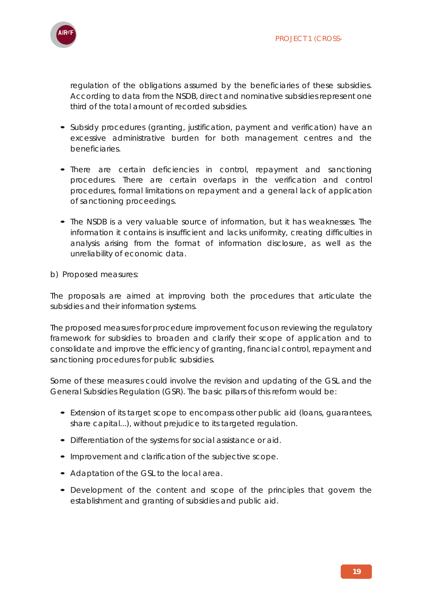

regulation of the obligations assumed by the beneficiaries of these subsidies. According to data from the NSDB, direct and nominative subsidies represent one third of the total amount of recorded subsidies.

- Subsidy procedures (granting, justification, payment and verification) have an excessive administrative burden for both management centres and the beneficiaries.
- There are certain deficiencies in control, repayment and sanctioning procedures. There are certain overlaps in the verification and control procedures, formal limitations on repayment and a general lack of application of sanctioning proceedings.
- The NSDB is a very valuable source of information, but it has weaknesses. The information it contains is insufficient and lacks uniformity, creating difficulties in analysis arising from the format of information disclosure, as well as the unreliability of economic data.
- b) Proposed measures:

The proposals are aimed at improving both the procedures that articulate the subsidies and their information systems.

The proposed measures for procedure improvement focus on reviewing the regulatory framework for subsidies to broaden and clarify their scope of application and to consolidate and improve the efficiency of granting, financial control, repayment and sanctioning procedures for public subsidies.

Some of these measures could involve the revision and updating of the GSL and the General Subsidies Regulation (GSR). The basic pillars of this reform would be:

- Extension of its target scope to encompass other public aid (loans, guarantees, share capital...), without prejudice to its targeted regulation.
- Differentiation of the systems for social assistance or aid.
- Improvement and clarification of the subjective scope.
- Adaptation of the GSL to the local area.
- Development of the content and scope of the principles that govern the establishment and granting of subsidies and public aid.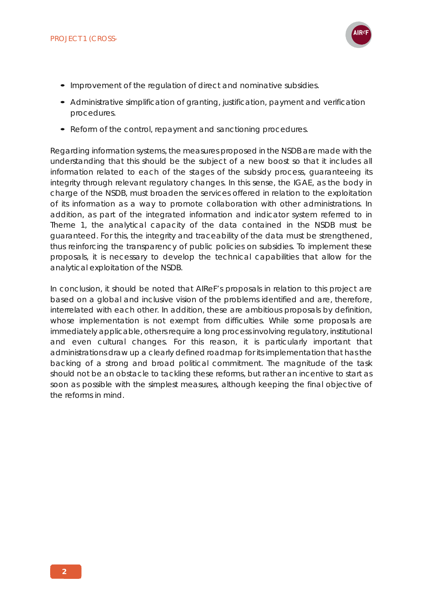

- Improvement of the regulation of direct and nominative subsidies.
- Administrative simplification of granting, justification, payment and verification procedures.
- Reform of the control, repayment and sanctioning procedures.

Regarding information systems, the measures proposed in the NSDB are made with the understanding that this should be the subject of a new boost so that it includes all information related to each of the stages of the subsidy process, guaranteeing its integrity through relevant regulatory changes. In this sense, the IGAE, as the body in charge of the NSDB, must broaden the services offered in relation to the exploitation of its information as a way to promote collaboration with other administrations. In addition, as part of the integrated information and indicator system referred to in Theme 1, the analytical capacity of the data contained in the NSDB must be guaranteed. For this, the integrity and traceability of the data must be strengthened, thus reinforcing the transparency of public policies on subsidies. To implement these proposals, it is necessary to develop the technical capabilities that allow for the analytical exploitation of the NSDB.

In conclusion, it should be noted that AIReF's proposals in relation to this project are based on a global and inclusive vision of the problems identified and are, therefore, interrelated with each other. In addition, these are ambitious proposals by definition, whose implementation is not exempt from difficulties. While some proposals are immediately applicable, others require a long process involving regulatory, institutional and even cultural changes. For this reason, it is particularly important that administrations draw up a clearly defined roadmap for its implementation that has the backing of a strong and broad political commitment. The magnitude of the task should not be an obstacle to tackling these reforms, but rather an incentive to start as soon as possible with the simplest measures, although keeping the final objective of the reforms in mind.